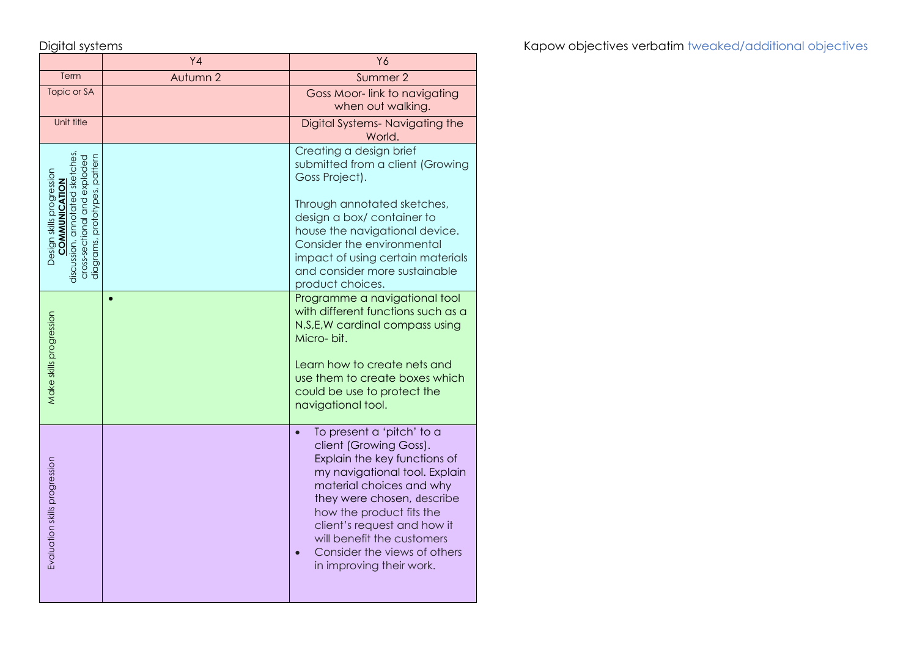|                                                                                                                                                      | Y <sub>4</sub> | Y6                                                                                                                                                                                                                                                                                                                                  |
|------------------------------------------------------------------------------------------------------------------------------------------------------|----------------|-------------------------------------------------------------------------------------------------------------------------------------------------------------------------------------------------------------------------------------------------------------------------------------------------------------------------------------|
| Term                                                                                                                                                 | Autumn 2       | Summer 2                                                                                                                                                                                                                                                                                                                            |
| Topic or SA                                                                                                                                          |                | Goss Moor-link to navigating<br>when out walking.                                                                                                                                                                                                                                                                                   |
| Unit title                                                                                                                                           |                | Digital Systems-Navigating the<br>World.                                                                                                                                                                                                                                                                                            |
| discussion, annotated sketches<br>diagrams, prototypes, pattern<br>cross-sectional and exploded<br>Design skills progression<br><b>COMMUNICATION</b> |                | Creating a design brief<br>submitted from a client (Growing<br>Goss Project).<br>Through annotated sketches,<br>design a box/ container to<br>house the navigational device.<br>Consider the environmental<br>impact of using certain materials<br>and consider more sustainable<br>product choices.                                |
| Make skills progression                                                                                                                              |                | Programme a navigational tool<br>with different functions such as a<br>N, S, E, W cardinal compass using<br>Micro-bit.<br>Learn how to create nets and<br>use them to create boxes which<br>could be use to protect the<br>navigational tool.                                                                                       |
| Evaluation skills progression                                                                                                                        |                | To present a 'pitch' to a<br>client (Growing Goss).<br>Explain the key functions of<br>my navigational tool. Explain<br>material choices and why<br>they were chosen, describe<br>how the product fits the<br>client's request and how it<br>will benefit the customers<br>Consider the views of others<br>in improving their work. |

Digital systems **Kapow objectives verbatim** tweaked/additional objectives verbatim tweaked/additional objectives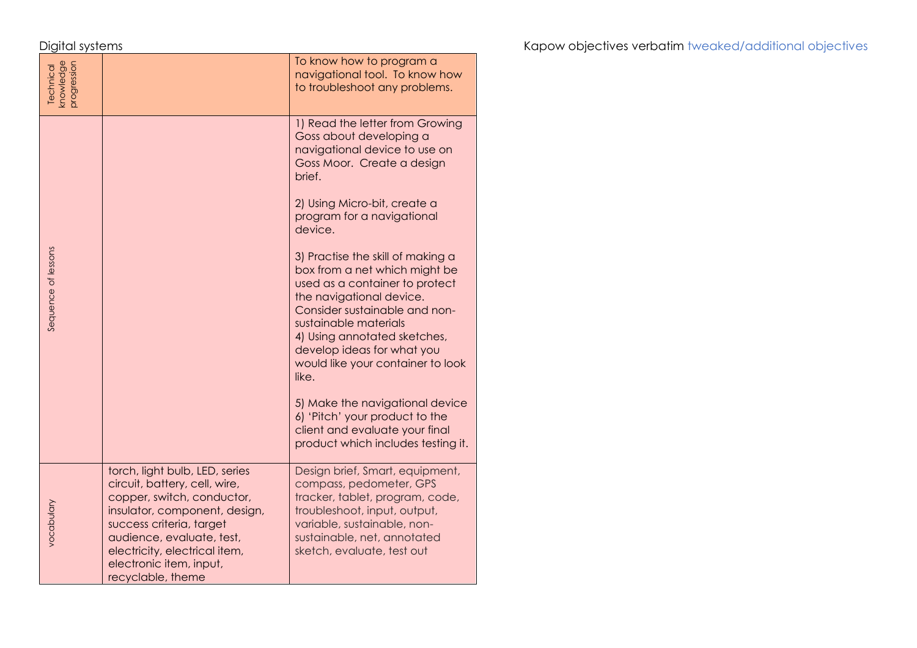| knowledge<br>progression<br>Technical |                                                                                                                                                                                                                                                                          | To know how to program a<br>navigational tool. To know how<br>to troubleshoot any problems.                                                                                                                                                                                                            |
|---------------------------------------|--------------------------------------------------------------------------------------------------------------------------------------------------------------------------------------------------------------------------------------------------------------------------|--------------------------------------------------------------------------------------------------------------------------------------------------------------------------------------------------------------------------------------------------------------------------------------------------------|
| Sequence of lessons                   |                                                                                                                                                                                                                                                                          | 1) Read the letter from Growing<br>Goss about developing a<br>navigational device to use on<br>Goss Moor. Create a design<br>brief.                                                                                                                                                                    |
|                                       |                                                                                                                                                                                                                                                                          | 2) Using Micro-bit, create a<br>program for a navigational<br>device.                                                                                                                                                                                                                                  |
|                                       |                                                                                                                                                                                                                                                                          | 3) Practise the skill of making a<br>box from a net which might be<br>used as a container to protect<br>the navigational device.<br>Consider sustainable and non-<br>sustainable materials<br>4) Using annotated sketches,<br>develop ideas for what you<br>would like your container to look<br>like. |
|                                       |                                                                                                                                                                                                                                                                          | 5) Make the navigational device<br>6) 'Pitch' your product to the<br>client and evaluate your final<br>product which includes testing it.                                                                                                                                                              |
| vocabulary                            | torch, light bulb, LED, series<br>circuit, battery, cell, wire,<br>copper, switch, conductor,<br>insulator, component, design,<br>success criteria, target<br>audience, evaluate, test,<br>electricity, electrical item,<br>electronic item, input,<br>recyclable, theme | Design brief, Smart, equipment,<br>compass, pedometer, GPS<br>tracker, tablet, program, code,<br>troubleshoot, input, output,<br>variable, sustainable, non-<br>sustainable, net, annotated<br>sketch, evaluate, test out                                                                              |

Digital systems **Kapow objectives verbatim** tweaked/additional objectives verbatim tweaked/additional objectives